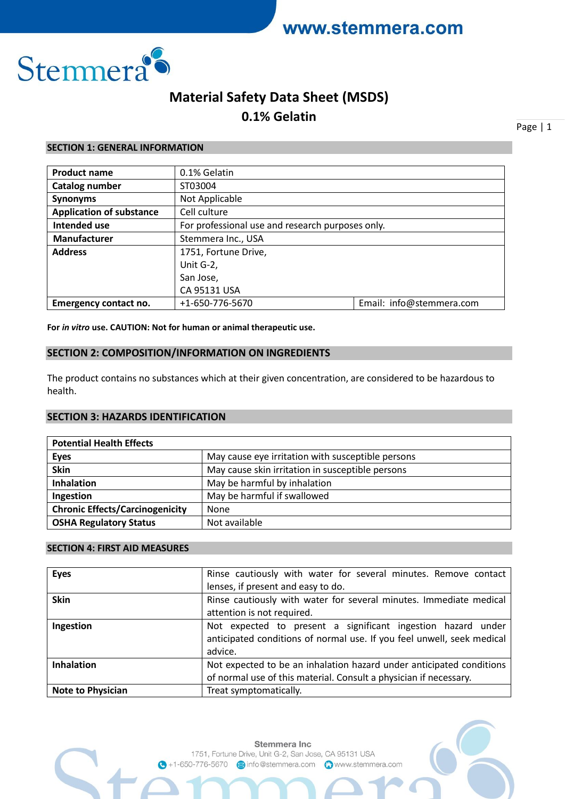

## **Material Safety Data Sheet (MSDS)**

**0.1% Gelatin**

Page | 1

#### **SECTION 1: GENERAL INFORMATION**

| <b>Product name</b>             | 0.1% Gelatin                                     |                          |
|---------------------------------|--------------------------------------------------|--------------------------|
| Catalog number                  | ST03004                                          |                          |
| <b>Synonyms</b>                 | Not Applicable                                   |                          |
| <b>Application of substance</b> | Cell culture                                     |                          |
| <b>Intended use</b>             | For professional use and research purposes only. |                          |
| <b>Manufacturer</b>             | Stemmera Inc., USA                               |                          |
| <b>Address</b>                  | 1751, Fortune Drive,                             |                          |
|                                 | Unit G-2,                                        |                          |
|                                 | San Jose,                                        |                          |
|                                 | CA 95131 USA                                     |                          |
| <b>Emergency contact no.</b>    | +1-650-776-5670                                  | Email: info@stemmera.com |

**For** *in vitro* **use. CAUTION: Not for human or animal therapeutic use.**

## **SECTION 2: COMPOSITION/INFORMATION ON INGREDIENTS**

The product contains no substances which at their given concentration, are considered to be hazardous to health.

## **SECTION 3: HAZARDS IDENTIFICATION**

| <b>Potential Health Effects</b>        |                                                   |
|----------------------------------------|---------------------------------------------------|
| <b>Eyes</b>                            | May cause eye irritation with susceptible persons |
| Skin                                   | May cause skin irritation in susceptible persons  |
| <b>Inhalation</b>                      | May be harmful by inhalation                      |
| Ingestion                              | May be harmful if swallowed                       |
| <b>Chronic Effects/Carcinogenicity</b> | None                                              |
| <b>OSHA Regulatory Status</b>          | Not available                                     |

## **SECTION 4: FIRST AID MEASURES**

| <b>Eyes</b>              | Rinse cautiously with water for several minutes. Remove contact                                                                                   |
|--------------------------|---------------------------------------------------------------------------------------------------------------------------------------------------|
|                          | lenses, if present and easy to do.                                                                                                                |
| <b>Skin</b>              | Rinse cautiously with water for several minutes. Immediate medical                                                                                |
|                          | attention is not required.                                                                                                                        |
| Ingestion                | Not expected to present a significant ingestion hazard under<br>anticipated conditions of normal use. If you feel unwell, seek medical<br>advice. |
| <b>Inhalation</b>        | Not expected to be an inhalation hazard under anticipated conditions<br>of normal use of this material. Consult a physician if necessary.         |
| <b>Note to Physician</b> | Treat symptomatically.                                                                                                                            |

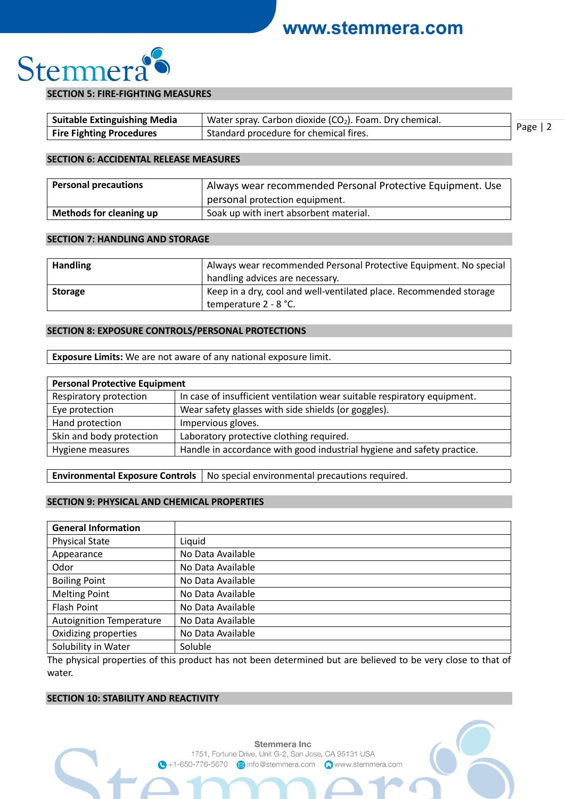

#### **SECTION 5: FIRE-FIGHTING MEASURES**

| Suitable Extinguishing Media    | Water spray. Carbon dioxide $(CO2)$ . Foam. Dry chemical. |           |  |
|---------------------------------|-----------------------------------------------------------|-----------|--|
| <b>Fire Fighting Procedures</b> | Standard procedure for chemical fires.                    | Page $ 2$ |  |

#### **SECTION 6: ACCIDENTAL RELEASE MEASURES**

| <b>Personal precautions</b>    | Always wear recommended Personal Protective Equipment. Use |
|--------------------------------|------------------------------------------------------------|
|                                | personal protection equipment.                             |
| <b>Methods for cleaning up</b> | Soak up with inert absorbent material.                     |

#### **SECTION 7: HANDLING AND STORAGE**

| <b>Handling</b> | Always wear recommended Personal Protective Equipment. No special<br>handling advices are necessary. |
|-----------------|------------------------------------------------------------------------------------------------------|
| <b>Storage</b>  | Keep in a dry, cool and well-ventilated place. Recommended storage<br>temperature 2 - 8 °C.          |

### **SECTION 8: EXPOSURE CONTROLS/PERSONAL PROTECTIONS**

**Exposure Limits:** We are not aware of any national exposure limit.

| <b>Personal Protective Equipment</b> |                                                                          |  |
|--------------------------------------|--------------------------------------------------------------------------|--|
| Respiratory protection               | In case of insufficient ventilation wear suitable respiratory equipment. |  |
| Eye protection                       | Wear safety glasses with side shields (or goggles).                      |  |
| Hand protection                      | Impervious gloves.                                                       |  |
| Skin and body protection             | Laboratory protective clothing required.                                 |  |
| Hygiene measures                     | Handle in accordance with good industrial hygiene and safety practice.   |  |

**Environmental Exposure Controls** | No special environmental precautions required.

#### **SECTION 9: PHYSICAL AND CHEMICAL PROPERTIES**

| <b>General Information</b>      |                   |
|---------------------------------|-------------------|
| <b>Physical State</b>           | Liquid            |
| Appearance                      | No Data Available |
| Odor                            | No Data Available |
| <b>Boiling Point</b>            | No Data Available |
| <b>Melting Point</b>            | No Data Available |
| <b>Flash Point</b>              | No Data Available |
| <b>Autoignition Temperature</b> | No Data Available |
| Oxidizing properties            | No Data Available |
| Solubility in Water             | Soluble           |

The physical properties of this product has not been determined but are believed to be very close to that of water.

#### **SECTION 10: STABILITY AND REACTIVITY**

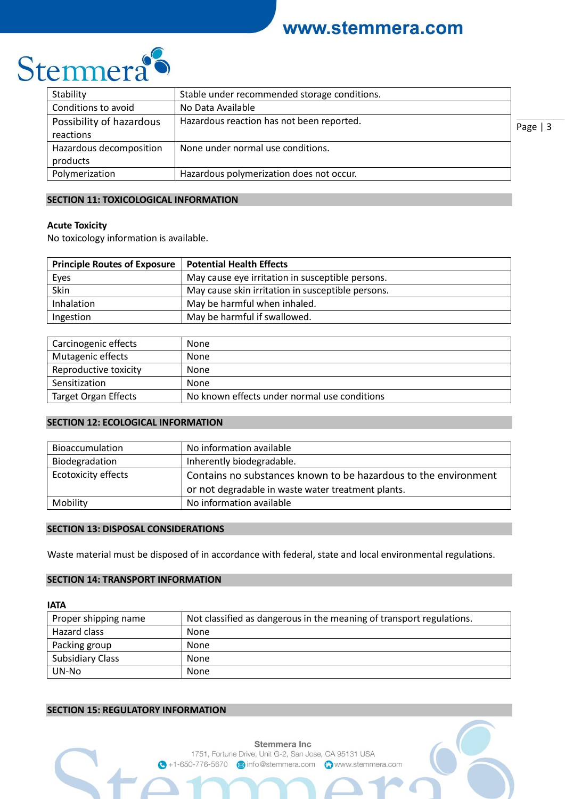

| Stability                | Stable under recommended storage conditions. |           |
|--------------------------|----------------------------------------------|-----------|
| Conditions to avoid      | No Data Available                            |           |
| Possibility of hazardous | Hazardous reaction has not been reported.    | Page $ 3$ |
| reactions                |                                              |           |
| Hazardous decomposition  | None under normal use conditions.            |           |
| products                 |                                              |           |
| Polymerization           | Hazardous polymerization does not occur.     |           |

#### **SECTION 11: TOXICOLOGICAL INFORMATION**

#### **Acute Toxicity**

No toxicology information is available.

| <b>Principle Routes of Exposure</b> | <b>Potential Health Effects</b>                   |
|-------------------------------------|---------------------------------------------------|
| Eyes                                | May cause eye irritation in susceptible persons.  |
| Skin                                | May cause skin irritation in susceptible persons. |
| Inhalation                          | May be harmful when inhaled.                      |
| Ingestion                           | May be harmful if swallowed.                      |

| Carcinogenic effects        | None                                         |
|-----------------------------|----------------------------------------------|
| Mutagenic effects           | None                                         |
| Reproductive toxicity       | None                                         |
| Sensitization               | None                                         |
| <b>Target Organ Effects</b> | No known effects under normal use conditions |

## **SECTION 12: ECOLOGICAL INFORMATION**

| Bioaccumulation            | No information available                                        |
|----------------------------|-----------------------------------------------------------------|
| Biodegradation             | Inherently biodegradable.                                       |
| <b>Ecotoxicity effects</b> | Contains no substances known to be hazardous to the environment |
|                            | or not degradable in waste water treatment plants.              |
| Mobility                   | No information available                                        |

### **SECTION 13: DISPOSAL CONSIDERATIONS**

Waste material must be disposed of in accordance with federal, state and local environmental regulations.

### **SECTION 14: TRANSPORT INFORMATION**

#### **IATA**

| Proper shipping name | Not classified as dangerous in the meaning of transport regulations. |
|----------------------|----------------------------------------------------------------------|
| Hazard class         | None                                                                 |
| Packing group        | None                                                                 |
| Subsidiary Class     | None                                                                 |
| UN-No                | None                                                                 |

#### **SECTION 15: REGULATORY INFORMATION**

Stemmera Inc 1751, Fortune Drive, Unit G-2, San Jose, CA 95131 USA ↑ +1-650-776-5670 a info@stemmera.com <br>
<br> **● +1-650-776-5670** a info@stemmera.com